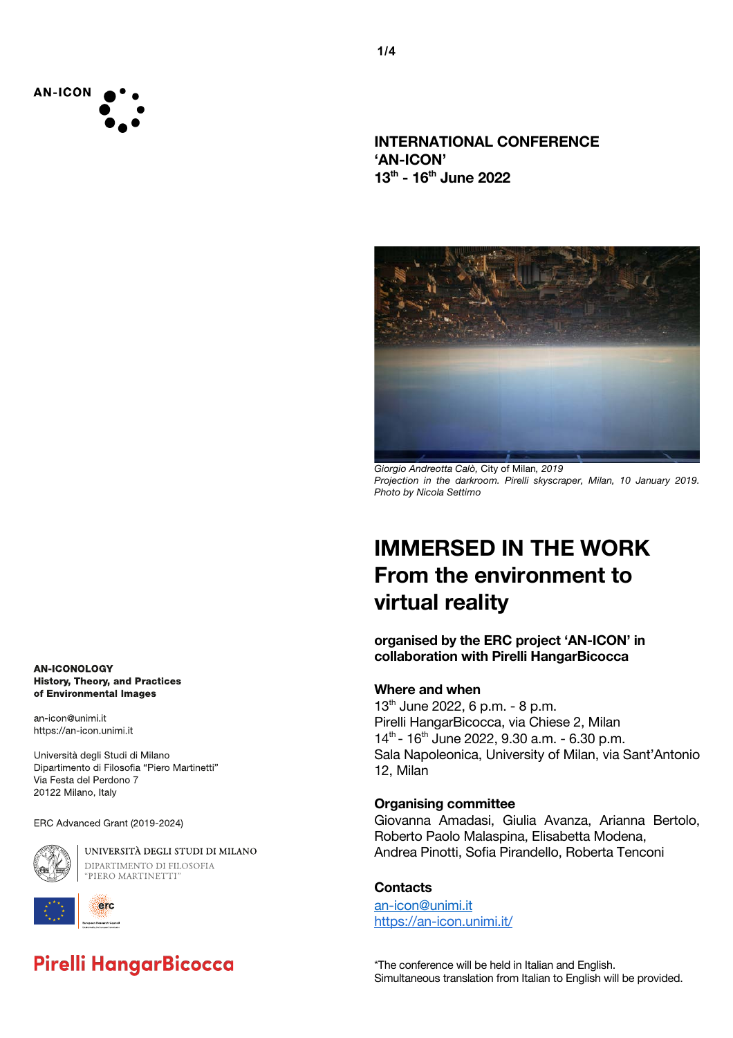

**INTERNATIONAL CONFERENCE 'AN-ICON' 13th - 16th June 2022**



*Giorgio Andreotta Calò,* City of Milan*, 2019 Projection in the darkroom. Pirelli skyscraper, Milan, 10 January 2019. Photo by Nicola Settimo*

# **IMMERSED IN THE WORK From the environment to virtual reality**

**organised by the ERC project 'AN-ICON' in collaboration with Pirelli HangarBicocca**

### **Where and when**

13<sup>th</sup> June 2022, 6 p.m. - 8 p.m. Pirelli HangarBicocca, via Chiese 2, Milan  $14^{th}$  -  $16^{th}$  June 2022, 9.30 a.m. - 6.30 p.m. Sala Napoleonica, University of Milan, via Sant'Antonio 12, Milan

### **Organising committee**

Giovanna Amadasi, Giulia Avanza, Arianna Bertolo, Roberto Paolo Malaspina, Elisabetta Modena, Andrea Pinotti, Sofia Pirandello, Roberta Tenconi

#### **Contacts**

an-icon@unimi.it https://an-icon.unimi.it/

\*The conference will be held in Italian and English. Simultaneous translation from Italian to English will be provided.

**AN-ICONOLOGY History, Theory, and Practices** of Environmental Images

an-icon@unimi.it https://an-icon.unimi.it

Università degli Studi di Milano Dipartimento di Filosofia "Piero Martinetti" Via Festa del Perdono 7 20122 Milano, Italy

ERC Advanced Grant (2019-2024)



UNIVERSITÀ DEGLI STUDI DI MILANO DIPARTIMENTO DI FILOSOFIA "PIERO MARTINETTI"



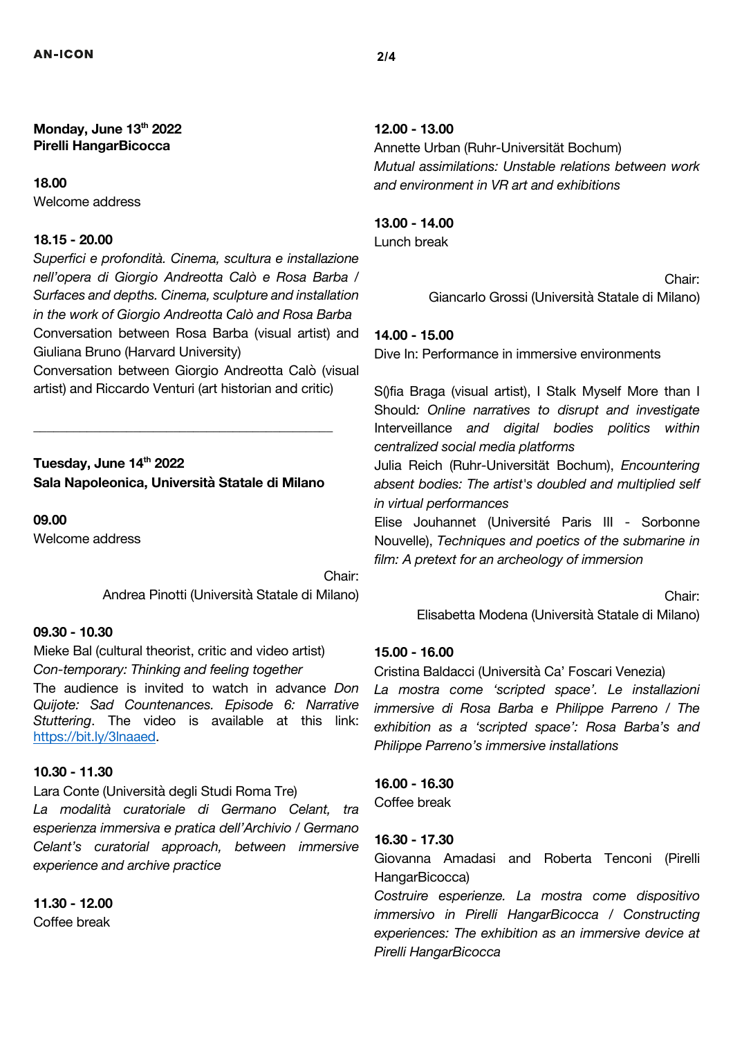**Monday, June 13th 2022 Pirelli HangarBicocca** 

### **18.00**

Welcome address

### **18.15 - 20.00**

*Superfici e profondità. Cinema, scultura e installazione nell'opera di Giorgio Andreotta Calò e Rosa Barba / Surfaces and depths. Cinema, sculpture and installation in the work of Giorgio Andreotta Calò and Rosa Barba* Conversation between Rosa Barba (visual artist) and Giuliana Bruno (Harvard University)

Conversation between Giorgio Andreotta Calò (visual artist) and Riccardo Venturi (art historian and critic)

# **Tuesday, June 14th 2022 Sala Napoleonica, Università Statale di Milano**

\_\_\_\_\_\_\_\_\_\_\_\_\_\_\_\_\_\_\_\_\_\_\_\_\_\_\_\_\_\_\_\_\_\_\_\_\_\_\_\_\_\_\_\_\_

**09.00** 

Welcome address

Chair: Andrea Pinotti (Università Statale di Milano)

# **09.30 - 10.30**

Mieke Bal (cultural theorist, critic and video artist) *Con-temporary: Thinking and feeling together* The audience is invited to watch in advance *Don Quijote: Sad Countenances. Episode 6: Narrative Stuttering*. The video is available at this link: https://bit.ly/3lnaaed.

### **10.30 - 11.30**

Lara Conte (Università degli Studi Roma Tre)

*La modalità curatoriale di Germano Celant, tra esperienza immersiva e pratica dell'Archivio / Germano Celant's curatorial approach, between immersive experience and archive practice*

**11.30 - 12.00** 

### Coffee break

# **12.00 - 13.00**

Annette Urban (Ruhr-Universität Bochum) *Mutual assimilations: Unstable relations between work and environment in VR art and exhibitions*

# **13.00 - 14.00**

Lunch break

Chair: Giancarlo Grossi (Università Statale di Milano)

### **14.00 - 15.00**

Dive In: Performance in immersive environments

S()fia Braga (visual artist), I Stalk Myself More than I Should*: Online narratives to disrupt and investigate*  Interveillance *and digital bodies politics within centralized social media platforms*

Julia Reich (Ruhr-Universität Bochum), *Encountering absent bodies: The artist's doubled and multiplied self in virtual performances*

Elise Jouhannet (Université Paris III - Sorbonne Nouvelle), *Techniques and poetics of the submarine in film: A pretext for an archeology of immersion*

Chair:

Elisabetta Modena (Università Statale di Milano)

### **15.00 - 16.00**

Cristina Baldacci (Università Ca' Foscari Venezia) *La mostra come 'scripted space'. Le installazioni immersive di Rosa Barba e Philippe Parreno / The exhibition as a 'scripted space': Rosa Barba's and Philippe Parreno's immersive installations*

**16.00 - 16.30**  Coffee break

### **16.30 - 17.30**

Giovanna Amadasi and Roberta Tenconi (Pirelli HangarBicocca)

*Costruire esperienze. La mostra come dispositivo immersivo in Pirelli HangarBicocca / Constructing experiences: The exhibition as an immersive device at Pirelli HangarBicocca*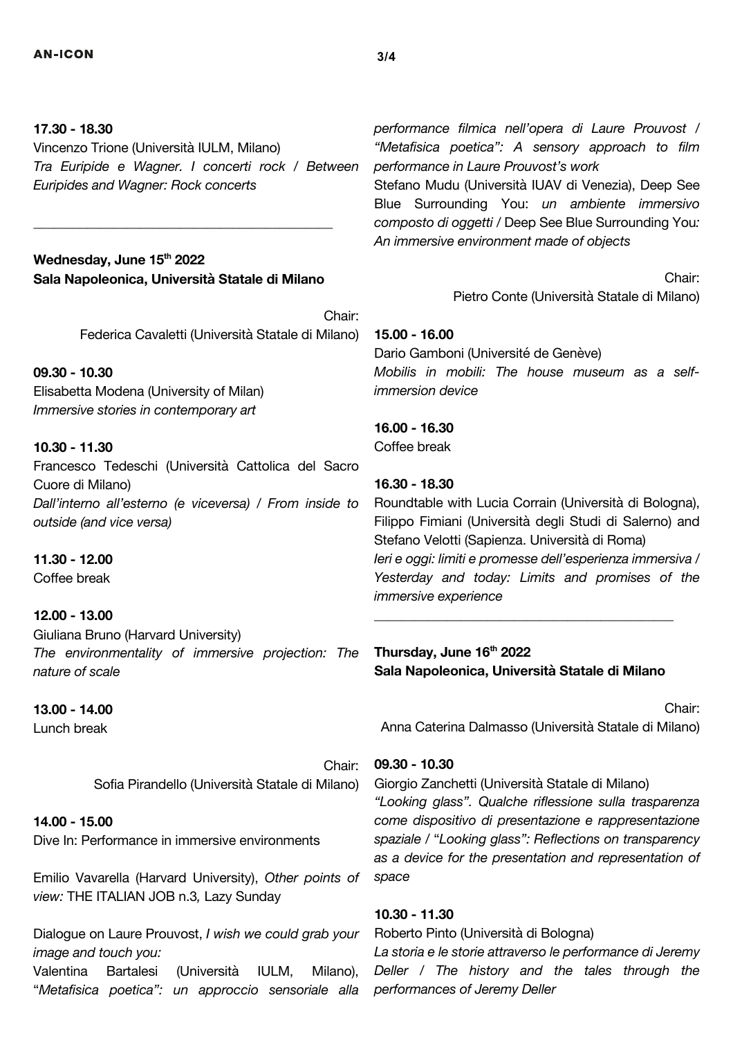### **17.30 - 18.30**

Vincenzo Trione (Università IULM, Milano) *Tra Euripide e Wagner. I concerti rock / Between Euripides and Wagner: Rock concerts*

# Wednesday, June 15<sup>th</sup> 2022 **Sala Napoleonica, Università Statale di Milano**

\_\_\_\_\_\_\_\_\_\_\_\_\_\_\_\_\_\_\_\_\_\_\_\_\_\_\_\_\_\_\_\_\_\_\_\_\_\_\_\_\_\_\_\_\_

Chair: Federica Cavaletti (Università Statale di Milano)

# **09.30 - 10.30**

Elisabetta Modena (University of Milan) *Immersive stories in contemporary art*

### **10.30 - 11.30**

Francesco Tedeschi (Università Cattolica del Sacro Cuore di Milano) *Dall'interno all'esterno (e viceversa) / From inside to outside (and vice versa)*

**11.30 - 12.00**  Coffee break

#### **12.00 - 13.00**

Giuliana Bruno (Harvard University) *The environmentality of immersive projection: The nature of scale*

#### **13.00 - 14.00**

Lunch break

Chair: Sofia Pirandello (Università Statale di Milano)

### **14.00 - 15.00**

Dive In: Performance in immersive environments

Emilio Vavarella (Harvard University), *Other points of view:* THE ITALIAN JOB n.3*,* Lazy Sunday

Dialogue on Laure Prouvost, *I wish we could grab your image and touch you:*  Valentina Bartalesi (Università IULM, Milano),

"*Metafisica poetica": un approccio sensoriale alla* 

*performance filmica nell'opera di Laure Prouvost / "Metafisica poetica": A sensory approach to film performance in Laure Prouvost's work*

Stefano Mudu (Università IUAV di Venezia), Deep See Blue Surrounding You: *un ambiente immersivo composto di oggetti /* Deep See Blue Surrounding You*: An immersive environment made of objects*

> Chair: Pietro Conte (Università Statale di Milano)

**15.00 - 16.00** Dario Gamboni (Université de Genève) *Mobilis in mobili: The house museum as a selfimmersion device*

**16.00 - 16.30** Coffee break

### **16.30 - 18.30**

Roundtable with Lucia Corrain (Università di Bologna), Filippo Fimiani (Università degli Studi di Salerno) and Stefano Velotti (Sapienza. Università di Roma) *Ieri e oggi: limiti e promesse dell'esperienza immersiva / Yesterday and today: Limits and promises of the immersive experience*

**Thursday, June 16th 2022 Sala Napoleonica, Università Statale di Milano**

\_\_\_\_\_\_\_\_\_\_\_\_\_\_\_\_\_\_\_\_\_\_\_\_\_\_\_\_\_\_\_\_\_\_\_\_\_\_\_\_\_\_\_\_\_

Chair: Anna Caterina Dalmasso (Università Statale di Milano)

### **09.30 - 10.30**

Giorgio Zanchetti (Università Statale di Milano) *"Looking glass". Qualche riflessione sulla trasparenza come dispositivo di presentazione e rappresentazione spaziale /* "*Looking glass": Reflections on transparency as a device for the presentation and representation of space*

### **10.30 - 11.30**

Roberto Pinto (Università di Bologna)

*La storia e le storie attraverso le performance di Jeremy Deller / The history and the tales through the performances of Jeremy Deller*